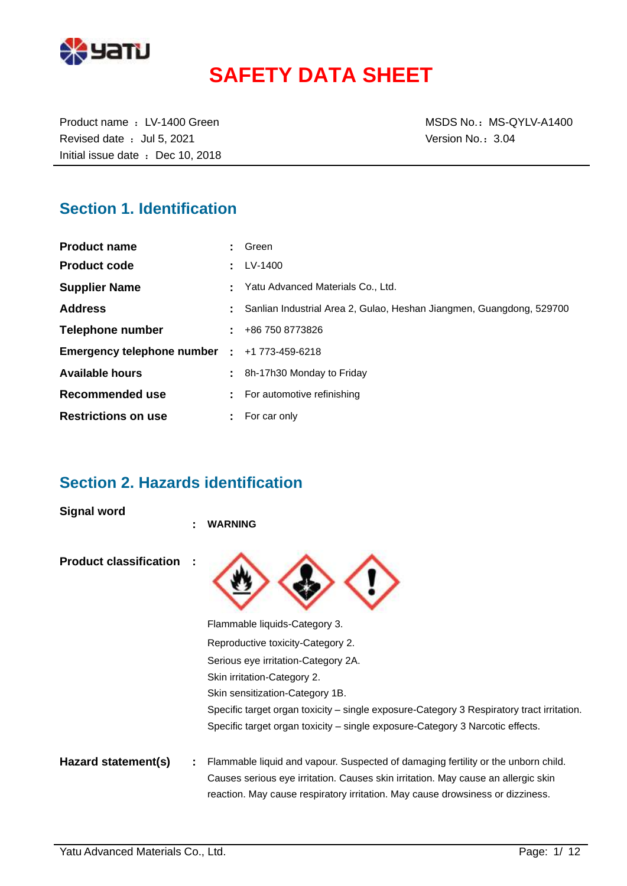

# **SAFETY DATA SHEET**

Revised date : Jul 5, 2021 Case of the Version No.: 3.04 Initial issue date : Dec 10, 2018

Product name : LV-1400 Green MSDS No.: MS-QYLV-A1400

### **Section 1. Identification**

| <b>Product name</b>                                 | Green                                                                |
|-----------------------------------------------------|----------------------------------------------------------------------|
| <b>Product code</b>                                 | LV-1400                                                              |
| <b>Supplier Name</b>                                | Yatu Advanced Materials Co., Ltd.                                    |
| <b>Address</b>                                      | Sanlian Industrial Area 2, Gulao, Heshan Jiangmen, Guangdong, 529700 |
| Telephone number                                    | $\pm 486$ 750 8773826                                                |
| <b>Emergency telephone number : +1 773-459-6218</b> |                                                                      |
| <b>Available hours</b>                              | 8h-17h30 Monday to Friday                                            |
| Recommended use                                     | For automotive refinishing                                           |
| <b>Restrictions on use</b>                          | For car only                                                         |

### **Section 2. Hazards identification**

**Signal word**

|                               | ٠ | <b>WARNING</b>                                                                                                                                                      |
|-------------------------------|---|---------------------------------------------------------------------------------------------------------------------------------------------------------------------|
| <b>Product classification</b> |   |                                                                                                                                                                     |
|                               |   | Flammable liquids-Category 3.                                                                                                                                       |
|                               |   | Reproductive toxicity-Category 2.                                                                                                                                   |
|                               |   | Serious eye irritation-Category 2A.                                                                                                                                 |
|                               |   | Skin irritation-Category 2.                                                                                                                                         |
|                               |   | Skin sensitization-Category 1B.                                                                                                                                     |
|                               |   | Specific target organ toxicity – single exposure-Category 3 Respiratory tract irritation.                                                                           |
|                               |   | Specific target organ toxicity – single exposure-Category 3 Narcotic effects.                                                                                       |
| Hazard statement(s)           |   | Flammable liquid and vapour. Suspected of damaging fertility or the unborn child.                                                                                   |
|                               |   | Causes serious eye irritation. Causes skin irritation. May cause an allergic skin<br>reaction. May cause respiratory irritation. May cause drowsiness or dizziness. |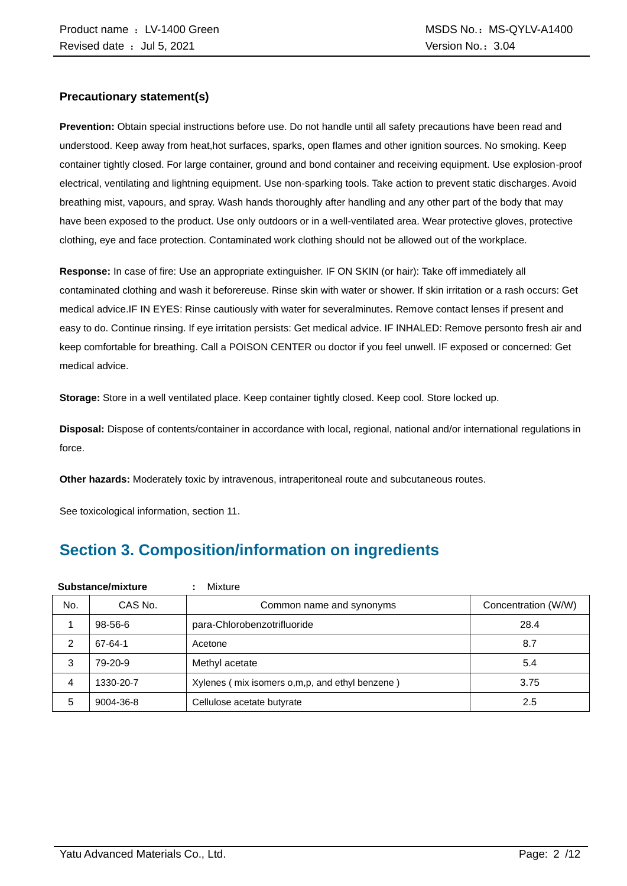#### **Precautionary statement(s)**

**Prevention:** Obtain special instructions before use. Do not handle until all safety precautions have been read and understood. Keep away from heat,hot surfaces, sparks, open flames and other ignition sources. No smoking. Keep container tightly closed. For large container, ground and bond container and receiving equipment. Use explosion-proof electrical, ventilating and lightning equipment. Use non-sparking tools. Take action to prevent static discharges. Avoid breathing mist, vapours, and spray. Wash hands thoroughly after handling and any other part of the body that may have been exposed to the product. Use only outdoors or in a well-ventilated area. Wear protective gloves, protective clothing, eye and face protection. Contaminated work clothing should not be allowed out of the workplace.

**Response:** In case of fire: Use an appropriate extinguisher. IF ON SKIN (or hair): Take off immediately all contaminated clothing and wash it beforereuse. Rinse skin with water or shower. If skin irritation or a rash occurs: Get medical advice.IF IN EYES: Rinse cautiously with water for severalminutes. Remove contact lenses if present and easy to do. Continue rinsing. If eye irritation persists: Get medical advice. IF INHALED: Remove personto fresh air and keep comfortable for breathing. Call a POISON CENTER ou doctor if you feel unwell. IF exposed or concerned: Get medical advice.

**Storage:** Store in a well ventilated place. Keep container tightly closed. Keep cool. Store locked up.

**Disposal:** Dispose of contents/container in accordance with local, regional, national and/or international regulations in force.

**Other hazards:** Moderately toxic by intravenous, intraperitoneal route and subcutaneous routes.

See toxicological information, section 11.

## **Section 3. Composition/information on ingredients**

| Substance/mixture |               | Mixture                                        |                     |
|-------------------|---------------|------------------------------------------------|---------------------|
| No.               | CAS No.       | Common name and synonyms                       | Concentration (W/W) |
|                   | $98 - 56 - 6$ | para-Chlorobenzotrifluoride                    | 28.4                |
| 2                 | 67-64-1       | Acetone                                        | 8.7                 |
| 3                 | 79-20-9       | Methyl acetate                                 | 5.4                 |
| 4                 | 1330-20-7     | Xylenes (mix isomers o,m,p, and ethyl benzene) | 3.75                |
| 5                 | 9004-36-8     | Cellulose acetate butyrate                     | 2.5                 |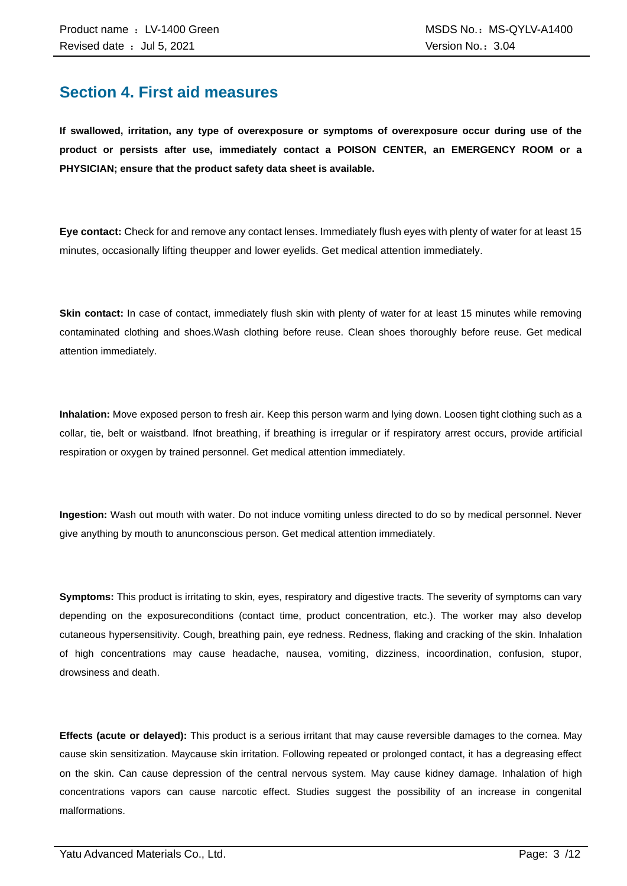### **Section 4. First aid measures**

**If swallowed, irritation, any type of overexposure or symptoms of overexposure occur during use of the product or persists after use, immediately contact a POISON CENTER, an EMERGENCY ROOM or a PHYSICIAN; ensure that the product safety data sheet is available.**

**Eye contact:** Check for and remove any contact lenses. Immediately flush eyes with plenty of water for at least 15 minutes, occasionally lifting theupper and lower eyelids. Get medical attention immediately.

**Skin contact:** In case of contact, immediately flush skin with plenty of water for at least 15 minutes while removing contaminated clothing and shoes.Wash clothing before reuse. Clean shoes thoroughly before reuse. Get medical attention immediately.

**Inhalation:** Move exposed person to fresh air. Keep this person warm and lying down. Loosen tight clothing such as a collar, tie, belt or waistband. Ifnot breathing, if breathing is irregular or if respiratory arrest occurs, provide artificial respiration or oxygen by trained personnel. Get medical attention immediately.

**Ingestion:** Wash out mouth with water. Do not induce vomiting unless directed to do so by medical personnel. Never give anything by mouth to anunconscious person. Get medical attention immediately.

**Symptoms:** This product is irritating to skin, eyes, respiratory and digestive tracts. The severity of symptoms can vary depending on the exposureconditions (contact time, product concentration, etc.). The worker may also develop cutaneous hypersensitivity. Cough, breathing pain, eye redness. Redness, flaking and cracking of the skin. Inhalation of high concentrations may cause headache, nausea, vomiting, dizziness, incoordination, confusion, stupor, drowsiness and death.

**Effects (acute or delayed):** This product is a serious irritant that may cause reversible damages to the cornea. May cause skin sensitization. Maycause skin irritation. Following repeated or prolonged contact, it has a degreasing effect on the skin. Can cause depression of the central nervous system. May cause kidney damage. Inhalation of high concentrations vapors can cause narcotic effect. Studies suggest the possibility of an increase in congenital malformations.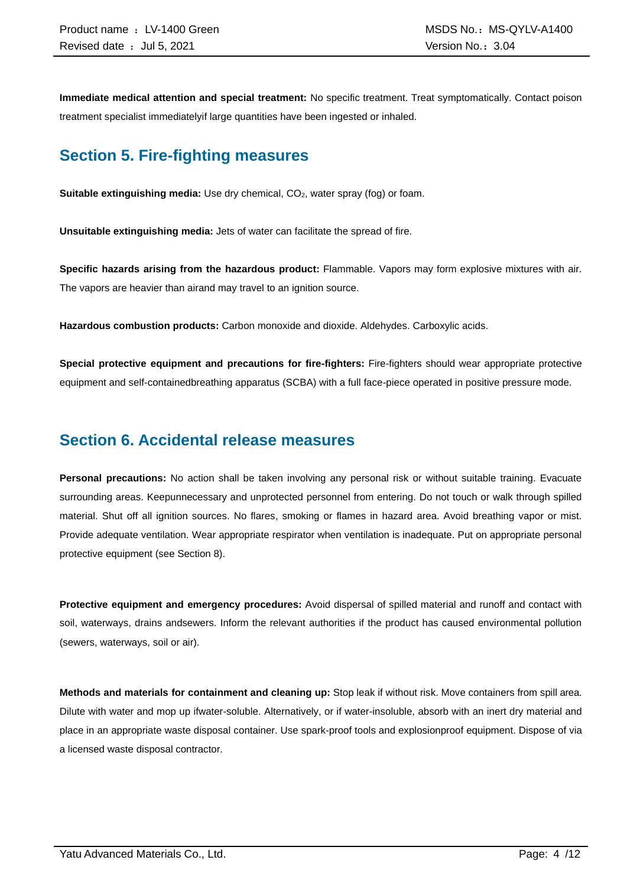**Immediate medical attention and special treatment:** No specific treatment. Treat symptomatically. Contact poison treatment specialist immediatelyif large quantities have been ingested or inhaled.

### **Section 5. Fire-fighting measures**

**Suitable extinguishing media:** Use dry chemical, CO<sub>2</sub>, water spray (fog) or foam.

**Unsuitable extinguishing media:** Jets of water can facilitate the spread of fire.

**Specific hazards arising from the hazardous product:** Flammable. Vapors may form explosive mixtures with air. The vapors are heavier than airand may travel to an ignition source.

**Hazardous combustion products:** Carbon monoxide and dioxide. Aldehydes. Carboxylic acids.

**Special protective equipment and precautions for fire-fighters:** Fire-fighters should wear appropriate protective equipment and self-containedbreathing apparatus (SCBA) with a full face-piece operated in positive pressure mode.

### **Section 6. Accidental release measures**

**Personal precautions:** No action shall be taken involving any personal risk or without suitable training. Evacuate surrounding areas. Keepunnecessary and unprotected personnel from entering. Do not touch or walk through spilled material. Shut off all ignition sources. No flares, smoking or flames in hazard area. Avoid breathing vapor or mist. Provide adequate ventilation. Wear appropriate respirator when ventilation is inadequate. Put on appropriate personal protective equipment (see Section 8).

**Protective equipment and emergency procedures:** Avoid dispersal of spilled material and runoff and contact with soil, waterways, drains andsewers. Inform the relevant authorities if the product has caused environmental pollution (sewers, waterways, soil or air).

**Methods and materials for containment and cleaning up:** Stop leak if without risk. Move containers from spill area. Dilute with water and mop up ifwater-soluble. Alternatively, or if water-insoluble, absorb with an inert dry material and place in an appropriate waste disposal container. Use spark-proof tools and explosionproof equipment. Dispose of via a licensed waste disposal contractor.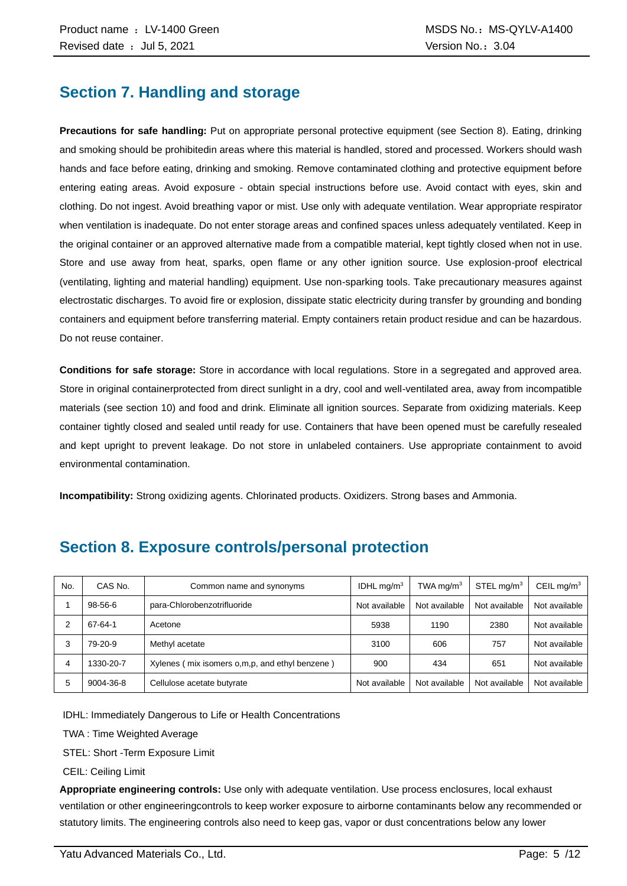### **Section 7. Handling and storage**

**Precautions for safe handling:** Put on appropriate personal protective equipment (see Section 8). Eating, drinking and smoking should be prohibitedin areas where this material is handled, stored and processed. Workers should wash hands and face before eating, drinking and smoking. Remove contaminated clothing and protective equipment before entering eating areas. Avoid exposure - obtain special instructions before use. Avoid contact with eyes, skin and clothing. Do not ingest. Avoid breathing vapor or mist. Use only with adequate ventilation. Wear appropriate respirator when ventilation is inadequate. Do not enter storage areas and confined spaces unless adequately ventilated. Keep in the original container or an approved alternative made from a compatible material, kept tightly closed when not in use. Store and use away from heat, sparks, open flame or any other ignition source. Use explosion-proof electrical (ventilating, lighting and material handling) equipment. Use non-sparking tools. Take precautionary measures against electrostatic discharges. To avoid fire or explosion, dissipate static electricity during transfer by grounding and bonding containers and equipment before transferring material. Empty containers retain product residue and can be hazardous. Do not reuse container.

**Conditions for safe storage:** Store in accordance with local regulations. Store in a segregated and approved area. Store in original containerprotected from direct sunlight in a dry, cool and well-ventilated area, away from incompatible materials (see section 10) and food and drink. Eliminate all ignition sources. Separate from oxidizing materials. Keep container tightly closed and sealed until ready for use. Containers that have been opened must be carefully resealed and kept upright to prevent leakage. Do not store in unlabeled containers. Use appropriate containment to avoid environmental contamination.

**Incompatibility:** Strong oxidizing agents. Chlorinated products. Oxidizers. Strong bases and Ammonia.

| No. | CAS No.   | Common name and synonyms                         | IDHL $mq/m3$  | TWA mg/m <sup>3</sup> | STEL mg/m <sup>3</sup> | CEIL mg/m <sup>3</sup> |
|-----|-----------|--------------------------------------------------|---------------|-----------------------|------------------------|------------------------|
|     | 98-56-6   | para-Chlorobenzotrifluoride                      | Not available | Not available         | Not available          | Not available          |
|     | 67-64-1   | Acetone                                          | 5938          | 1190                  | 2380                   | Not available          |
| 3   | 79-20-9   | Methyl acetate                                   | 3100          | 606                   | 757                    | Not available          |
| 4   | 1330-20-7 | Xylenes (mix isomers o, m, p, and ethyl benzene) | 900           | 434                   | 651                    | Not available          |
| 5   | 9004-36-8 | Cellulose acetate butyrate                       | Not available | Not available         | Not available          | Not available          |

### **Section 8. Exposure controls/personal protection**

IDHL: Immediately Dangerous to Life or Health Concentrations

TWA : Time Weighted Average

STEL: Short -Term Exposure Limit

CEIL: Ceiling Limit

**Appropriate engineering controls:** Use only with adequate ventilation. Use process enclosures, local exhaust ventilation or other engineeringcontrols to keep worker exposure to airborne contaminants below any recommended or statutory limits. The engineering controls also need to keep gas, vapor or dust concentrations below any lower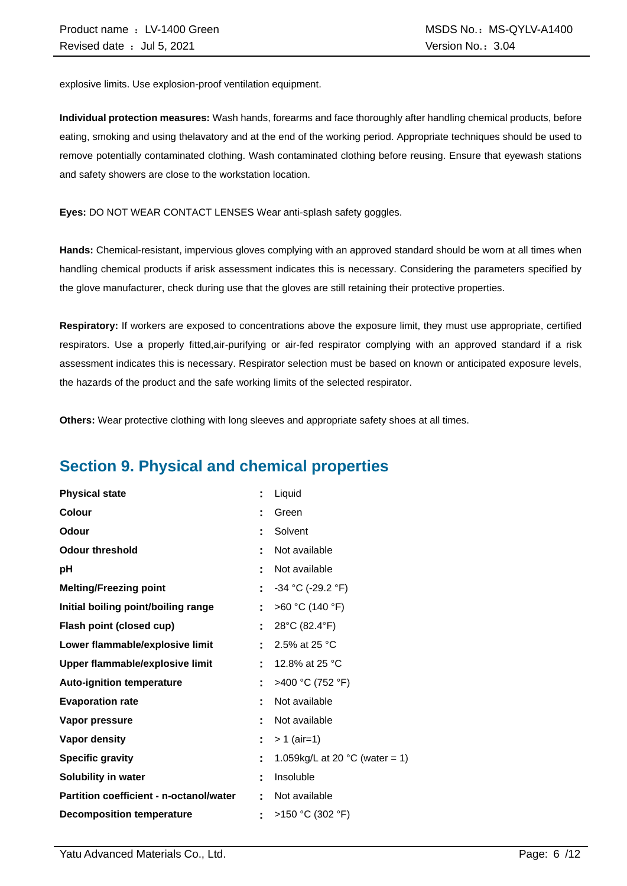explosive limits. Use explosion-proof ventilation equipment.

**Individual protection measures:** Wash hands, forearms and face thoroughly after handling chemical products, before eating, smoking and using thelavatory and at the end of the working period. Appropriate techniques should be used to remove potentially contaminated clothing. Wash contaminated clothing before reusing. Ensure that eyewash stations and safety showers are close to the workstation location.

**Eyes:** DO NOT WEAR CONTACT LENSES Wear anti-splash safety goggles.

**Hands:** Chemical-resistant, impervious gloves complying with an approved standard should be worn at all times when handling chemical products if arisk assessment indicates this is necessary. Considering the parameters specified by the glove manufacturer, check during use that the gloves are still retaining their protective properties.

**Respiratory:** If workers are exposed to concentrations above the exposure limit, they must use appropriate, certified respirators. Use a properly fitted,air-purifying or air-fed respirator complying with an approved standard if a risk assessment indicates this is necessary. Respirator selection must be based on known or anticipated exposure levels, the hazards of the product and the safe working limits of the selected respirator.

**Others:** Wear protective clothing with long sleeves and appropriate safety shoes at all times.

## **Section 9. Physical and chemical properties**

| <b>Physical state</b>                          |    | Liquid                                   |
|------------------------------------------------|----|------------------------------------------|
| <b>Colour</b>                                  |    | Green                                    |
| Odour                                          |    | Solvent                                  |
| <b>Odour threshold</b>                         |    | Not available                            |
| рH                                             | t  | Not available                            |
| <b>Melting/Freezing point</b>                  | ÷. | $-34$ °C (-29.2 °F)                      |
| Initial boiling point/boiling range            |    | >60 °C (140 °F)                          |
| Flash point (closed cup)                       |    | 28°C (82.4°F)                            |
| Lower flammable/explosive limit                |    | 2.5% at 25 °C                            |
| Upper flammable/explosive limit                | Ì. | 12.8% at 25 °C                           |
| <b>Auto-ignition temperature</b>               |    | >400 °C (752 °F)                         |
| <b>Evaporation rate</b>                        |    | Not available                            |
| Vapor pressure                                 |    | Not available                            |
| <b>Vapor density</b>                           | ÷. | $> 1$ (air=1)                            |
| <b>Specific gravity</b>                        | t  | 1.059kg/L at 20 $^{\circ}$ C (water = 1) |
| Solubility in water                            | ٠  | Insoluble                                |
| <b>Partition coefficient - n-octanol/water</b> |    | Not available                            |
| <b>Decomposition temperature</b>               |    | >150 °C (302 °F)                         |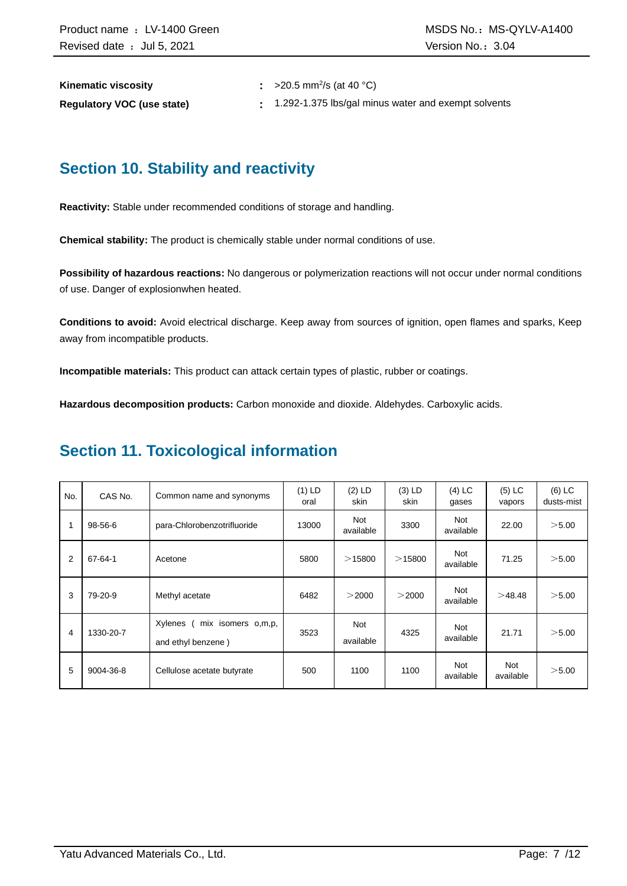| <b>Kinematic viscosity</b>        | $\approx$ >20.5 mm <sup>2</sup> /s (at 40 °C)       |
|-----------------------------------|-----------------------------------------------------|
| <b>Regulatory VOC (use state)</b> | 1.292-1.375 lbs/gal minus water and exempt solvents |

### **Section 10. Stability and reactivity**

**Reactivity:** Stable under recommended conditions of storage and handling.

**Chemical stability:** The product is chemically stable under normal conditions of use.

**Possibility of hazardous reactions:** No dangerous or polymerization reactions will not occur under normal conditions of use. Danger of explosionwhen heated.

**Conditions to avoid:** Avoid electrical discharge. Keep away from sources of ignition, open flames and sparks, Keep away from incompatible products.

**Incompatible materials:** This product can attack certain types of plastic, rubber or coatings.

**Hazardous decomposition products:** Carbon monoxide and dioxide. Aldehydes. Carboxylic acids.

### **Section 11. Toxicological information**

| No.            | CAS No.   | Common name and synonyms                            | $(1)$ LD<br>oral | $(2)$ LD<br>skin        | $(3)$ LD<br>skin | $(4)$ LC<br>gases       | $(5)$ LC<br>vapors | $(6)$ LC<br>dusts-mist |
|----------------|-----------|-----------------------------------------------------|------------------|-------------------------|------------------|-------------------------|--------------------|------------------------|
|                | 98-56-6   | para-Chlorobenzotrifluoride                         | 13000            | <b>Not</b><br>available | 3300             | <b>Not</b><br>available | 22.00              | > 5.00                 |
| $\overline{2}$ | 67-64-1   | Acetone                                             | 5800             | >15800                  | $>$ 15800        | Not<br>available        | 71.25              | > 5.00                 |
| 3              | 79-20-9   | Methyl acetate                                      | 6482             | >2000                   | >2000            | Not<br>available        | >48.48             | > 5.00                 |
| 4              | 1330-20-7 | Xylenes<br>mix isomers o,m,p,<br>and ethyl benzene) | 3523             | <b>Not</b><br>available | 4325             | Not<br>available        | 21.71              | > 5.00                 |
| 5              | 9004-36-8 | Cellulose acetate butyrate                          | 500              | 1100                    | 1100             | Not<br>available        | Not<br>available   | > 5.00                 |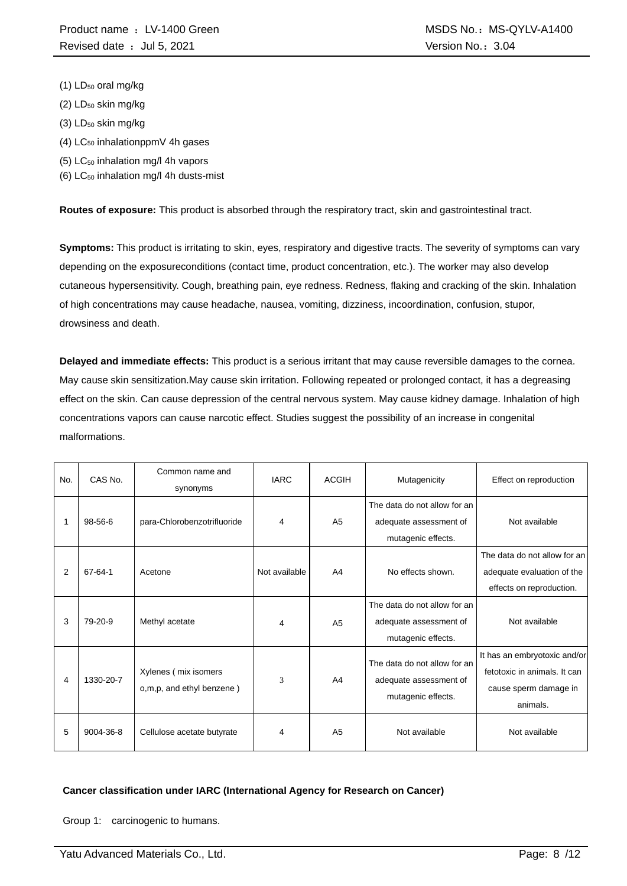- (1) LD<sub>50</sub> oral mg/kg
- $(2)$  LD<sub>50</sub> skin mg/kg
- (3) LD<sub>50</sub> skin mg/kg
- $(4)$  LC<sub>50</sub> inhalationppmV 4h gases
- (5) LC<sup>50</sup> inhalation mg/l 4h vapors
- (6)  $LC_{50}$  inhalation mg/l 4h dusts-mist

**Routes of exposure:** This product is absorbed through the respiratory tract, skin and gastrointestinal tract.

**Symptoms:** This product is irritating to skin, eyes, respiratory and digestive tracts. The severity of symptoms can vary depending on the exposureconditions (contact time, product concentration, etc.). The worker may also develop cutaneous hypersensitivity. Cough, breathing pain, eye redness. Redness, flaking and cracking of the skin. Inhalation of high concentrations may cause headache, nausea, vomiting, dizziness, incoordination, confusion, stupor, drowsiness and death.

**Delayed and immediate effects:** This product is a serious irritant that may cause reversible damages to the cornea. May cause skin sensitization.May cause skin irritation. Following repeated or prolonged contact, it has a degreasing effect on the skin. Can cause depression of the central nervous system. May cause kidney damage. Inhalation of high concentrations vapors can cause narcotic effect. Studies suggest the possibility of an increase in congenital malformations.

| No. | CAS No.   | Common name and<br>synonyms                       | <b>IARC</b>   | <b>ACGIH</b>   | Mutagenicity                                                                 | Effect on reproduction                                                                            |
|-----|-----------|---------------------------------------------------|---------------|----------------|------------------------------------------------------------------------------|---------------------------------------------------------------------------------------------------|
|     | 98-56-6   | para-Chlorobenzotrifluoride                       | 4             | A <sub>5</sub> | The data do not allow for an<br>adequate assessment of<br>mutagenic effects. | Not available                                                                                     |
| 2   | 67-64-1   | Acetone                                           | Not available | A <sub>4</sub> | No effects shown.                                                            | The data do not allow for an<br>adequate evaluation of the<br>effects on reproduction.            |
| 3   | 79-20-9   | Methyl acetate                                    | 4             | A <sub>5</sub> | The data do not allow for an<br>adequate assessment of<br>mutagenic effects. | Not available                                                                                     |
| 4   | 1330-20-7 | Xylenes (mix isomers<br>o,m,p, and ethyl benzene) | 3             | A <sub>4</sub> | The data do not allow for an<br>adequate assessment of<br>mutagenic effects. | It has an embryotoxic and/or<br>fetotoxic in animals. It can<br>cause sperm damage in<br>animals. |
| 5   | 9004-36-8 | Cellulose acetate butyrate                        | 4             | A <sub>5</sub> | Not available                                                                | Not available                                                                                     |

#### **Cancer classification under IARC (International Agency for Research on Cancer)**

Group 1: carcinogenic to humans.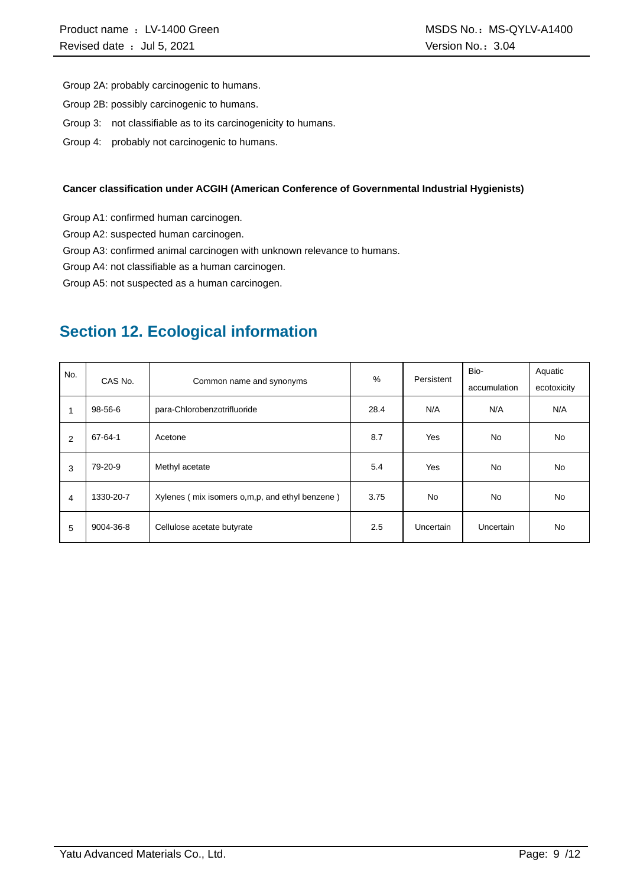Group 2A: probably carcinogenic to humans.

- Group 2B: possibly carcinogenic to humans.
- Group 3: not classifiable as to its carcinogenicity to humans.
- Group 4: probably not carcinogenic to humans.

#### **Cancer classification under ACGIH (American Conference of Governmental Industrial Hygienists)**

Group A1: confirmed human carcinogen.

Group A2: suspected human carcinogen.

Group A3: confirmed animal carcinogen with unknown relevance to humans.

Group A4: not classifiable as a human carcinogen.

Group A5: not suspected as a human carcinogen.

### **Section 12. Ecological information**

| No. | CAS No.   | Common name and synonyms                         | %    | Persistent       | Bio-         | Aquatic     |
|-----|-----------|--------------------------------------------------|------|------------------|--------------|-------------|
|     |           |                                                  |      |                  | accumulation | ecotoxicity |
|     | 98-56-6   | para-Chlorobenzotrifluoride                      | 28.4 | N/A              | N/A          | N/A         |
| 2   | 67-64-1   | Acetone                                          | 8.7  | Yes              | No.          | No.         |
| 3   | 79-20-9   | Methyl acetate                                   | 5.4  | Yes              | <b>No</b>    | No.         |
| 4   | 1330-20-7 | Xylenes (mix isomers o, m, p, and ethyl benzene) | 3.75 | <b>No</b>        | No.          | No.         |
| 5   | 9004-36-8 | Cellulose acetate butyrate                       | 2.5  | <b>Uncertain</b> | Uncertain    | No.         |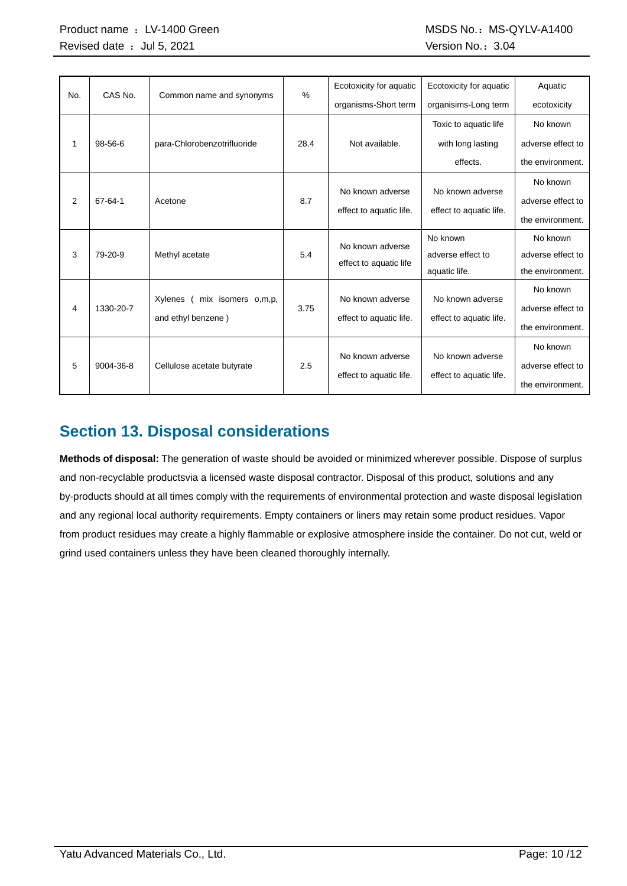| No. | CAS No.       | Common name and synonyms      | $\frac{9}{6}$ | Ecotoxicity for aquatic | Ecotoxicity for aquatic | Aquatic           |
|-----|---------------|-------------------------------|---------------|-------------------------|-------------------------|-------------------|
|     |               |                               |               | organisms-Short term    | organisims-Long term    | ecotoxicity       |
|     |               |                               |               |                         | Toxic to aquatic life   | No known          |
| 1   | $98 - 56 - 6$ | para-Chlorobenzotrifluoride   | 28.4          | Not available.          | with long lasting       | adverse effect to |
|     |               |                               |               |                         | effects.                | the environment.  |
|     |               |                               |               |                         |                         | No known          |
| 2   | 67-64-1       | Acetone                       | 8.7           | No known adverse        | No known adverse        | adverse effect to |
|     |               |                               |               | effect to aquatic life. | effect to aquatic life. | the environment.  |
|     |               |                               |               | No known adverse        | No known                | No known          |
| 3   | 79-20-9       | Methyl acetate                | 5.4           | effect to aquatic life  | adverse effect to       | adverse effect to |
|     |               |                               |               |                         | aquatic life.           | the environment.  |
|     |               |                               |               | No known adverse        | No known adverse        | No known          |
| 4   | 1330-20-7     | Xylenes<br>mix isomers o,m,p, | 3.75          |                         |                         | adverse effect to |
|     |               | and ethyl benzene)            |               | effect to aquatic life. | effect to aquatic life. | the environment.  |
|     |               |                               |               |                         |                         | No known          |
| 5   | 9004-36-8     | Cellulose acetate butyrate    | 2.5           | No known adverse        | No known adverse        | adverse effect to |
|     |               |                               |               | effect to aquatic life. | effect to aquatic life. | the environment.  |

### **Section 13. Disposal considerations**

**Methods of disposal:** The generation of waste should be avoided or minimized wherever possible. Dispose of surplus and non-recyclable productsvia a licensed waste disposal contractor. Disposal of this product, solutions and any by-products should at all times comply with the requirements of environmental protection and waste disposal legislation and any regional local authority requirements. Empty containers or liners may retain some product residues. Vapor from product residues may create a highly flammable or explosive atmosphere inside the container. Do not cut, weld or grind used containers unless they have been cleaned thoroughly internally.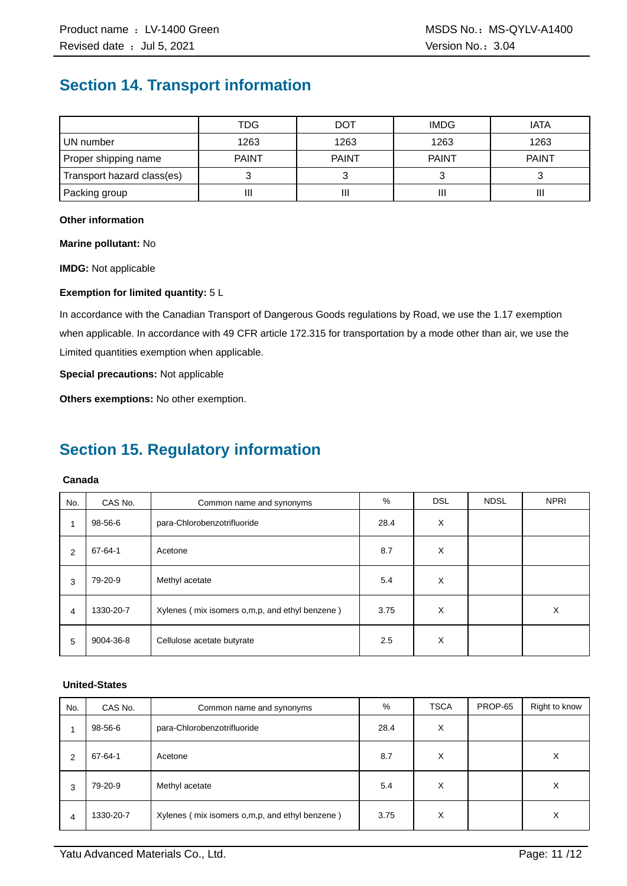### **Section 14. Transport information**

|                            | TDG          | DOT          | <b>IMDG</b>  | <b>IATA</b>  |
|----------------------------|--------------|--------------|--------------|--------------|
| UN number                  | 1263         | 1263         | 1263         | 1263         |
| Proper shipping name       | <b>PAINT</b> | <b>PAINT</b> | <b>PAINT</b> | <b>PAINT</b> |
| Transport hazard class(es) |              |              |              |              |
| Packing group              | П            | Ш            | Ш            | Ш            |

#### **Other information**

**Marine pollutant:** No

**IMDG:** Not applicable

#### **Exemption for limited quantity:** 5 L

In accordance with the Canadian Transport of Dangerous Goods regulations by Road, we use the 1.17 exemption when applicable. In accordance with 49 CFR article 172.315 for transportation by a mode other than air, we use the Limited quantities exemption when applicable.

**Special precautions:** Not applicable

**Others exemptions:** No other exemption.

### **Section 15. Regulatory information**

#### **Canada**

| No. | CAS No.   | Common name and synonyms                       | %    | <b>DSL</b> | <b>NDSL</b> | <b>NPRI</b> |
|-----|-----------|------------------------------------------------|------|------------|-------------|-------------|
| 1   | 98-56-6   | para-Chlorobenzotrifluoride                    | 28.4 | X          |             |             |
| 2   | 67-64-1   | Acetone                                        | 8.7  | X          |             |             |
| 3   | 79-20-9   | Methyl acetate                                 | 5.4  | X          |             |             |
| 4   | 1330-20-7 | Xylenes (mix isomers o,m,p, and ethyl benzene) | 3.75 | X          |             | X           |
| 5   | 9004-36-8 | Cellulose acetate butyrate                     | 2.5  | X          |             |             |

#### **United-States**

| No. | CAS No.   | Common name and synonyms                         | %    | <b>TSCA</b> | PROP-65 | Right to know |
|-----|-----------|--------------------------------------------------|------|-------------|---------|---------------|
|     | 98-56-6   | para-Chlorobenzotrifluoride                      | 28.4 | х           |         |               |
| 2   | 67-64-1   | Acetone                                          | 8.7  | X           |         | X             |
| 3   | 79-20-9   | Methyl acetate                                   | 5.4  | X           |         | Х             |
| 4   | 1330-20-7 | Xylenes (mix isomers o, m, p, and ethyl benzene) | 3.75 | X           |         | X             |